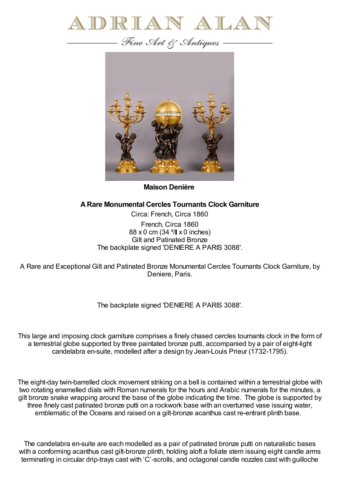



**Maison Denière**

## **ARare Monumental Cercles Tournants Clock Garniture**

Circa: French, Circa 1860 French, Circa 1860 88 x 0 cm (34 <sup>5</sup>/ x 0 inches) Gilt and Patinated Bronze The backplate signed 'DENIERE A PARIS 3088'.

A Rare and Exceptional Gilt and Patinated Bronze Monumental Cercles Tournants Clock Garniture, by Deniere, Paris.

The backplate signed 'DENIERE A PARIS 3088'.

This large and imposing clock garniture comprises a finely chased cercles tournants clock in the form of a terrestrial globe supported by three paintated bronze putti, accompanied by a pair of eight-light candelabra en-suite, modelled after a design by Jean-Louis Prieur (1732-1795).

The eight-day twin-barrelled clock movement striking on a bell is contained within a terrestrial globe with two rotating enamelled dials with Roman numerals for the hours and Arabic numerals for the minutes, a gilt bronze snake wrapping around the base of the globe indicating the time. The globe is supported by three finely cast patinated bronze putti on a rockwork base with an overturned vase issuing water, emblematic of the Oceans and raised on a gilt-bronze acanthus cast re-entrant plinth base.

The candelabra en-suite are each modelled as a pair of patinated bronze putti on naturalistic bases with a conforming acanthus cast gilt-bronze plinth, holding aloft a foliate stem issuing eight candle arms terminating in circular drip-trays cast with 'C'-scrolls, and octagonal candle nozzles cast with guilloche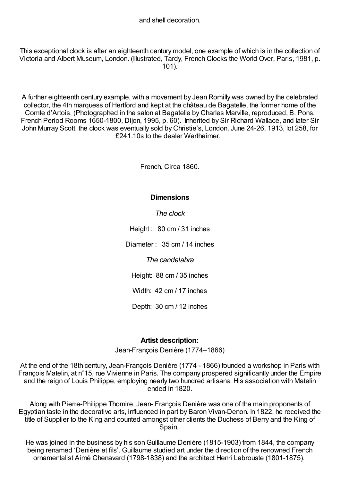This exceptional clock is after an eighteenth century model, one example of which is in the collection of Victoria and Albert Museum, London. (Illustrated, Tardy, French Clocks the World Over, Paris, 1981, p. 101).

A further eighteenth century example, with a movement by Jean Romilly was owned by the celebrated collector, the 4th marquess of Hertford and kept at the château de Bagatelle, the former home of the Comte d'Artois. (Photographed in the salon at Bagatelle by Charles Marville, reproduced, B. Pons, French Period Rooms 1650-1800, Dijon, 1995, p. 60). Inherited by Sir Richard Wallace, and later Sir John Murray Scott, the clock was eventually sold by Christie's, London, June 24-26, 1913, lot 258, for £241.10s to the dealer Wertheimer.

French, Circa 1860.

## **Dimensions**

*The clock*

Height : 80 cm / 31 inches

Diameter : 35 cm / 14 inches

*The candelabra*

Height: 88 cm / 35 inches

Width: 42 cm / 17 inches

Depth: 30 cm / 12 inches

## **Artist description:**

Jean-François Denière (1774–1866)

At the end of the 18th century, Jean-François Denière (1774 - 1866) founded a workshop in Paris with François Matelin, at n°15, rue Vivienne in Paris. The company prospered significantly under the Empire and the reign of Louis Philippe, employing nearly two hundred artisans. His association with Matelin ended in 1820.

Along with Pierre-Philippe Thomire, Jean- François Denière was one of the main proponents of Egyptian taste in the decorative arts, influenced in part by Baron Vivan-Denon. In 1822, he received the title of Supplier to the King and counted amongst other clients the Duchess of Berry and the King of Spain.

He was joined in the business by his son Guillaume Denière (1815-1903) from 1844, the company being renamed 'Denière et fils'. Guillaume studied art under the direction of the renowned French ornamentalist Aimé Chenavard (1798-1838) and the architect Henri Labrouste (1801-1875).